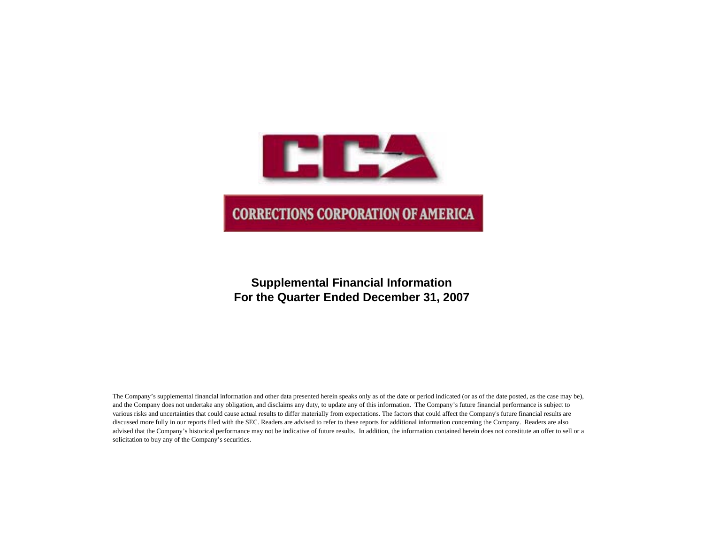

## **Supplemental Financial Information For the Quarter Ended December 31, 2007**

The Company's supplemental financial information and other data presented herein speaks only as of the date or period indicated (or as of the date posted, as the case may be), and the Company does not undertake any obligation, and disclaims any duty, to update any of this information. The Company's future financial performance is subject to various risks and uncertainties that could cause actual results to differ materially from expectations. The factors that could affect the Company's future financial results are discussed more fully in our reports filed with the SEC. Readers are advised to refer to these reports for additional information concerning the Company. Readers are also advised that the Company's historical performance may not be indicative of future results. In addition, the information contained herein does not constitute an offer to sell or a solicitation to buy any of the Company's securities.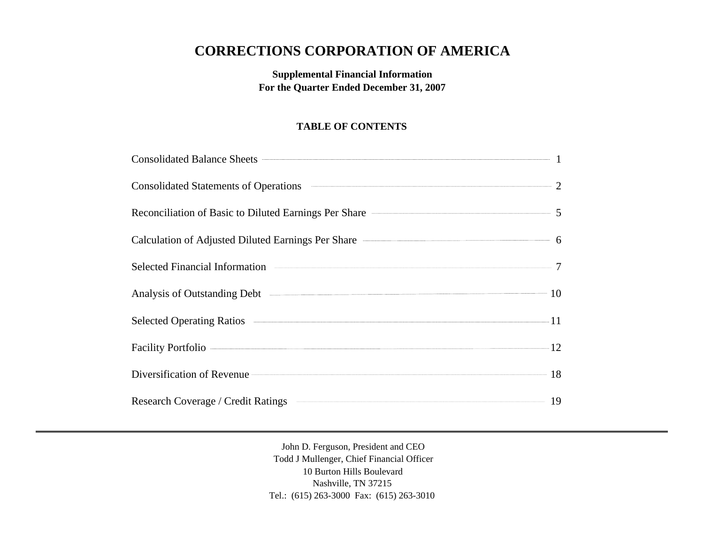# **CORRECTIONS CORPORATION OF AMERICA**

## **Supplemental Financial Information For the Quarter Ended December 31, 2007**

## **TABLE OF CONTENTS**

| Consolidated Balance Sheets <b>Consolidated</b> Balance Sheets <b>Consolidated</b> Balance Sheets <b>Consolidated</b> Balance Sheets <b>Consolidated</b> Balance Sheets <b>Consolidated</b> Balance Sheets <b>Consolidated</b> Balance Sheets <b>Consolidated</b> |  |
|-------------------------------------------------------------------------------------------------------------------------------------------------------------------------------------------------------------------------------------------------------------------|--|
| Consolidated Statements of Operations <b>CONSUMER 2</b>                                                                                                                                                                                                           |  |
| Reconciliation of Basic to Diluted Earnings Per Share <b>Constanting Strate</b> 5                                                                                                                                                                                 |  |
| Calculation of Adjusted Diluted Earnings Per Share <b>Calculation</b> 6                                                                                                                                                                                           |  |
| Selected Financial Information <b>Constanting Constanting Constanting Constanting Constanting Constanting Constanting Constanting Constanting Constanting Constanting Constanting Constanting Constanting Constanting Constantin</b>                              |  |
| Analysis of Outstanding Debt 2014 10                                                                                                                                                                                                                              |  |
| Selected Operating Ratios <b>Executive Contract Contract Contract Contract Contract Contract Contract Contract Contract Contract Contract Contract Contract Contract Contract Contract Contract Contract Contract Contract Contr</b>                              |  |
| Facility Portfolio 22                                                                                                                                                                                                                                             |  |
| Diversification of Revenue 28                                                                                                                                                                                                                                     |  |
| Research Coverage / Credit Ratings <b>Construction Coverage / Credit Ratings</b> 19                                                                                                                                                                               |  |

John D. Ferguson, President and CEO Todd J Mullenger, Chief Financial Officer 10 Burton Hills Boulevard Nashville, TN 37215 Tel.: (615) 263-3000 Fax: (615) 263-3010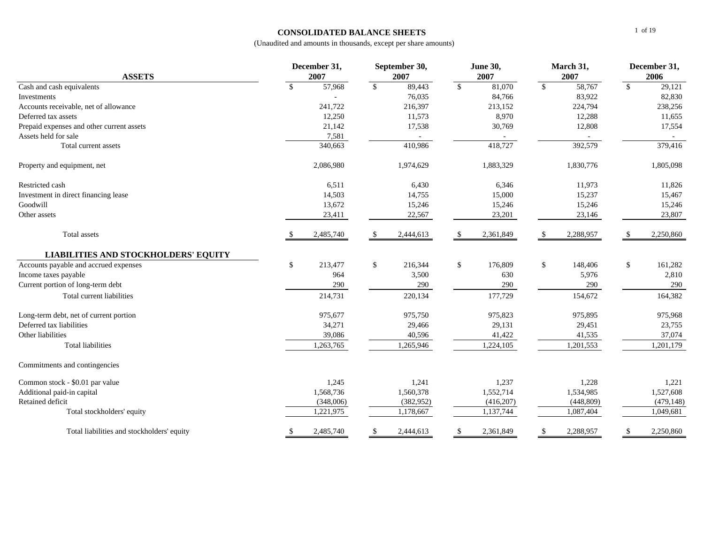#### **CONSOLIDATED BALANCE SHEETS**

| <b>ASSETS</b>                               |    | December 31,<br>2007 |              | September 30,<br><b>June 30,</b><br>2007<br>2007<br>2007 |              | March 31,  | December 31,<br>2006    |            |    |            |
|---------------------------------------------|----|----------------------|--------------|----------------------------------------------------------|--------------|------------|-------------------------|------------|----|------------|
| Cash and cash equivalents                   | \$ | 57,968               | $\mathbb{S}$ | 89,443                                                   | $\mathbb{S}$ | 81,070     | \$                      | 58,767     | \$ | 29,121     |
| Investments                                 |    |                      |              | 76,035                                                   |              | 84,766     |                         | 83,922     |    | 82,830     |
| Accounts receivable, net of allowance       |    | 241,722              |              | 216,397                                                  |              | 213,152    |                         | 224,794    |    | 238,256    |
| Deferred tax assets                         |    | 12,250               |              | 11,573                                                   |              | 8,970      |                         | 12,288     |    | 11,655     |
| Prepaid expenses and other current assets   |    | 21,142               |              | 17,538                                                   |              | 30,769     |                         | 12,808     |    | 17,554     |
| Assets held for sale                        |    | 7,581                |              |                                                          |              |            |                         |            |    |            |
| Total current assets                        |    | 340,663              |              | 410,986                                                  |              | 418,727    |                         | 392,579    |    | 379,416    |
| Property and equipment, net                 |    | 2,086,980            |              | 1,974,629                                                |              | 1,883,329  |                         | 1,830,776  |    | 1,805,098  |
| Restricted cash                             |    | 6,511                |              | 6,430                                                    |              | 6,346      |                         | 11,973     |    | 11,826     |
| Investment in direct financing lease        |    | 14,503               |              | 14,755                                                   |              | 15,000     |                         | 15,237     |    | 15,467     |
| Goodwill                                    |    | 13,672               |              | 15,246                                                   |              | 15,246     |                         | 15,246     |    | 15,246     |
| Other assets                                |    | 23,411               |              | 22,567                                                   |              | 23,201     |                         | 23,146     |    | 23,807     |
| Total assets                                | -S | 2,485,740            | -S           | 2,444,613                                                | -S           | 2,361,849  | -\$                     | 2,288,957  | -S | 2,250,860  |
| <b>LIABILITIES AND STOCKHOLDERS' EQUITY</b> |    |                      |              |                                                          |              |            |                         |            |    |            |
| Accounts payable and accrued expenses       | \$ | 213,477              | \$           | 216,344                                                  | \$           | 176,809    | $\sqrt[6]{\frac{1}{2}}$ | 148,406    | \$ | 161,282    |
| Income taxes payable                        |    | 964                  |              | 3,500                                                    |              | 630        |                         | 5,976      |    | 2,810      |
| Current portion of long-term debt           |    | 290                  |              | 290                                                      |              | 290        |                         | 290        |    | 290        |
| Total current liabilities                   |    | 214,731              |              | 220,134                                                  |              | 177,729    |                         | 154,672    |    | 164,382    |
| Long-term debt, net of current portion      |    | 975,677              |              | 975,750                                                  |              | 975,823    |                         | 975,895    |    | 975,968    |
| Deferred tax liabilities                    |    | 34,271               |              | 29,466                                                   |              | 29,131     |                         | 29,451     |    | 23,755     |
| Other liabilities                           |    | 39,086               |              | 40,596                                                   |              | 41,422     |                         | 41,535     |    | 37,074     |
| <b>Total liabilities</b>                    |    | 1,263,765            |              | 1,265,946                                                |              | 1,224,105  |                         | 1,201,553  |    | 1,201,179  |
| Commitments and contingencies               |    |                      |              |                                                          |              |            |                         |            |    |            |
| Common stock - \$0.01 par value             |    | 1,245                |              | 1,241                                                    |              | 1,237      |                         | 1,228      |    | 1,221      |
| Additional paid-in capital                  |    | 1,568,736            |              | 1,560,378                                                |              | 1,552,714  |                         | 1,534,985  |    | 1,527,608  |
| Retained deficit                            |    | (348,006)            |              | (382, 952)                                               |              | (416, 207) |                         | (448, 809) |    | (479, 148) |
| Total stockholders' equity                  |    | ,221,975             |              | 1,178,667                                                |              | 1,137,744  |                         | 1,087,404  |    | 1,049,681  |
| Total liabilities and stockholders' equity  | \$ | 2,485,740            | \$           | 2,444,613                                                | \$           | 2,361,849  | \$                      | 2,288,957  | \$ | 2,250,860  |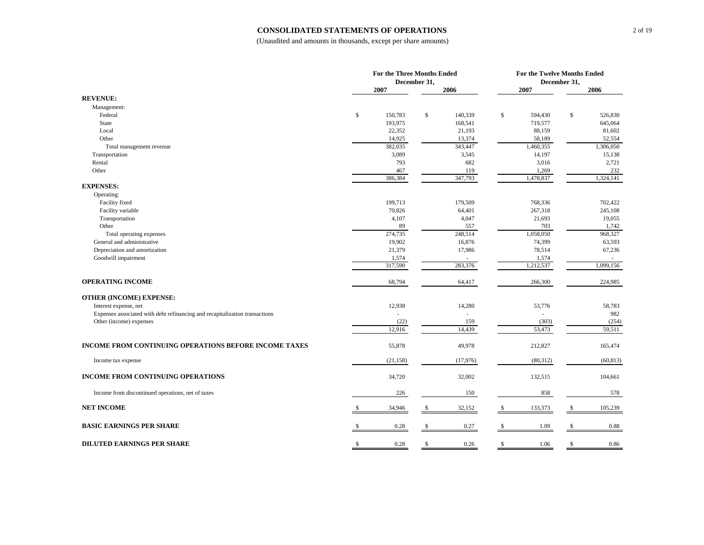#### **CONSOLIDATED STATEMENTS OF OPERATIONS**

|                                                                             | For the Three Months Ended |           |              |          |              | For the Twelve Months Ended |               |           |  |
|-----------------------------------------------------------------------------|----------------------------|-----------|--------------|----------|--------------|-----------------------------|---------------|-----------|--|
|                                                                             |                            |           | December 31, |          |              | December 31,                |               |           |  |
| <b>REVENUE:</b>                                                             |                            | 2007      |              | 2006     |              | 2007                        |               | 2006      |  |
| Management:                                                                 |                            |           |              |          |              |                             |               |           |  |
| Federal                                                                     | \$                         | 150,783   | \$           | 140,339  | $\mathbb{S}$ | 594,430                     | $\mathsf{\$}$ | 526,830   |  |
| <b>State</b>                                                                |                            | 193,975   |              | 168,541  |              | 719,577                     |               | 645,064   |  |
| Local                                                                       |                            | 22,352    |              | 21,193   |              | 88,159                      |               | 81,602    |  |
| Other                                                                       |                            | 14,925    |              | 13,374   |              | 58,189                      |               | 52,554    |  |
| Total management revenue                                                    |                            | 382,035   |              | 343,447  |              | 1,460,355                   |               | 1,306,050 |  |
| Transportation                                                              |                            | 3,089     |              | 3,545    |              | 14,197                      |               | 15,138    |  |
| Rental                                                                      |                            | 793       |              | 682      |              | 3,016                       |               | 2,721     |  |
| Other                                                                       |                            | 467       |              | 119      |              | 1,269                       |               | 232       |  |
|                                                                             |                            | 386,384   |              | 347,793  |              | 1,478,837                   |               | 1,324,141 |  |
| <b>EXPENSES:</b>                                                            |                            |           |              |          |              |                             |               |           |  |
| Operating:                                                                  |                            |           |              |          |              |                             |               |           |  |
| Facility fixed                                                              |                            | 199,713   |              | 179,509  |              | 768,336                     |               | 702,422   |  |
| Facility variable                                                           |                            | 70,826    |              | 64,401   |              | 267,318                     |               | 245,108   |  |
| Transportation                                                              |                            | 4,107     |              | 4,047    |              | 21,693                      |               | 19,055    |  |
| Other                                                                       |                            | 89        |              | 557      |              | 703                         |               | 1,742     |  |
| Total operating expenses                                                    |                            | 274,735   |              | 248,514  |              | 1,058,050                   |               | 968,327   |  |
| General and administrative                                                  |                            | 19,902    |              | 16,876   |              | 74,399                      |               | 63,593    |  |
| Depreciation and amortization                                               |                            | 21,379    |              | 17,986   |              | 78,514                      |               | 67,236    |  |
| Goodwill impairment                                                         |                            | 1,574     |              |          |              | 1,574                       |               |           |  |
|                                                                             |                            | 317,590   |              | 283,376  |              | 1,212,537                   |               | 1,099,156 |  |
| <b>OPERATING INCOME</b>                                                     |                            | 68,794    |              | 64,417   |              | 266,300                     |               | 224,985   |  |
| <b>OTHER (INCOME) EXPENSE:</b>                                              |                            |           |              |          |              |                             |               |           |  |
| Interest expense, net                                                       |                            | 12,938    |              | 14,280   |              | 53,776                      |               | 58,783    |  |
| Expenses associated with debt refinancing and recapitalization transactions |                            |           |              |          |              |                             |               | 982       |  |
| Other (income) expenses                                                     |                            | (22)      |              | 159      |              | (303)                       |               | (254)     |  |
|                                                                             |                            | 12,916    |              | 14,439   |              | 53,473                      |               | 59,511    |  |
| INCOME FROM CONTINUING OPERATIONS BEFORE INCOME TAXES                       |                            | 55,878    |              | 49,978   |              | 212,827                     |               | 165,474   |  |
| Income tax expense                                                          |                            | (21, 158) |              | (17,976) |              | (80,312)                    |               | (60, 813) |  |
| INCOME FROM CONTINUING OPERATIONS                                           |                            | 34,720    |              | 32,002   |              | 132,515                     |               | 104,661   |  |
| Income from discontinued operations, net of taxes                           |                            | 226       |              | 150      |              | 858                         |               | 578       |  |
| <b>NET INCOME</b>                                                           | £.                         | 34,946    | \$           | 32,152   | S            | 133,373                     | \$            | 105,239   |  |
| <b>BASIC EARNINGS PER SHARE</b>                                             |                            | 0.28      | \$           | 0.27     |              | 1.09                        |               | 0.88      |  |
| <b>DILUTED EARNINGS PER SHARE</b>                                           | <sup>\$</sup>              | 0.28      | \$           | 0.26     | S            | 1.06                        | \$            | 0.86      |  |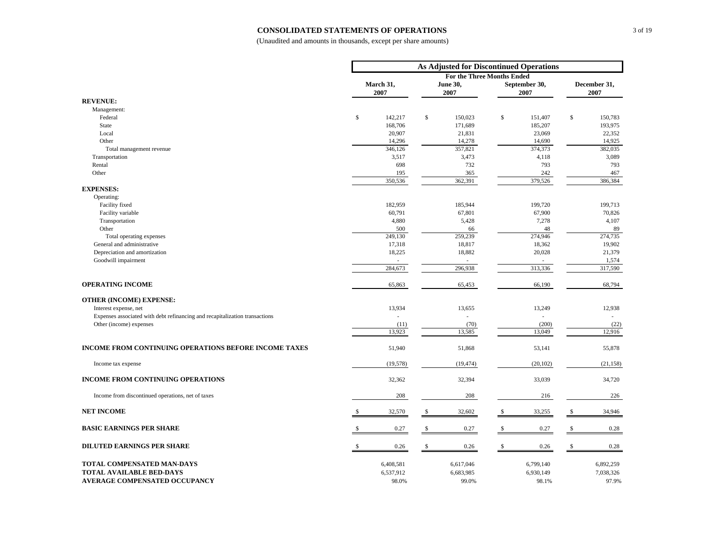#### **CONSOLIDATED STATEMENTS OF OPERATIONS**

|                                                                             | As Adjusted for Discontinued Operations |                   |              |                                   |              |                       |              |                      |
|-----------------------------------------------------------------------------|-----------------------------------------|-------------------|--------------|-----------------------------------|--------------|-----------------------|--------------|----------------------|
|                                                                             |                                         |                   |              | <b>For the Three Months Ended</b> |              |                       |              |                      |
|                                                                             |                                         | March 31,<br>2007 |              | June 30,<br>2007                  |              | September 30,<br>2007 |              | December 31,<br>2007 |
| <b>REVENUE:</b>                                                             |                                         |                   |              |                                   |              |                       |              |                      |
| Management:                                                                 |                                         |                   |              |                                   |              |                       |              |                      |
| Federal                                                                     | \$                                      | 142,217           | $\mathbb{S}$ | 150,023                           | $\mathbb{S}$ | 151,407               | $\mathbb{S}$ | 150,783              |
| <b>State</b>                                                                |                                         | 168,706           |              | 171,689                           |              | 185,207               |              | 193,975              |
| Local                                                                       |                                         | 20,907            |              | 21,831                            |              | 23,069                |              | 22,352               |
| Other                                                                       |                                         | 14,296            |              | 14,278                            |              | 14,690                |              | 14,925               |
| Total management revenue                                                    |                                         | 346,126           |              | 357,821                           |              | 374,373               |              | 382,035              |
| Transportation<br>Rental                                                    |                                         | 3,517<br>698      |              | 3,473<br>732                      |              | 4,118<br>793          |              | 3,089<br>793         |
| Other                                                                       |                                         | 195               |              | 365                               |              | 242                   |              | 467                  |
|                                                                             |                                         | 350,536           |              | 362,391                           |              | 379,526               |              | 386,384              |
| <b>EXPENSES:</b>                                                            |                                         |                   |              |                                   |              |                       |              |                      |
| Operating:                                                                  |                                         |                   |              |                                   |              |                       |              |                      |
| Facility fixed                                                              |                                         | 182,959           |              | 185,944                           |              | 199,720               |              | 199,713              |
| Facility variable                                                           |                                         | 60,791            |              | 67,801                            |              | 67,900                |              | 70,826               |
| Transportation                                                              |                                         | 4,880             |              | 5,428                             |              | 7,278                 |              | 4,107                |
| Other                                                                       |                                         | 500               |              | 66                                |              | 48                    |              | 89                   |
| Total operating expenses                                                    |                                         | 249,130           |              | 259,239                           |              | 274,946               |              | 274,735              |
| General and administrative                                                  |                                         | 17,318            |              | 18,817                            |              | 18,362                |              | 19,902               |
| Depreciation and amortization                                               |                                         | 18,225            |              | 18,882                            |              | 20,028                |              | 21,379               |
| Goodwill impairment                                                         |                                         |                   |              | ÷                                 |              | ÷.                    |              | 1,574                |
|                                                                             |                                         | 284,673           |              | 296,938                           |              | 313,336               |              | 317,590              |
| <b>OPERATING INCOME</b>                                                     |                                         | 65,863            |              | 65,453                            |              | 66,190                |              | 68,794               |
| <b>OTHER (INCOME) EXPENSE:</b>                                              |                                         |                   |              |                                   |              |                       |              |                      |
| Interest expense, net                                                       |                                         | 13,934            |              | 13,655                            |              | 13,249                |              | 12,938               |
| Expenses associated with debt refinancing and recapitalization transactions |                                         |                   |              |                                   |              |                       |              |                      |
| Other (income) expenses                                                     |                                         | (11)              |              | (70)                              |              | (200)                 |              | (22)                 |
|                                                                             |                                         | 13,923            |              | 13,585                            |              | 13,049                |              | 12,916               |
| <b>INCOME FROM CONTINUING OPERATIONS BEFORE INCOME TAXES</b>                |                                         | 51,940            |              | 51,868                            |              | 53,141                |              | 55,878               |
| Income tax expense                                                          |                                         | (19, 578)         |              | (19, 474)                         |              | (20, 102)             |              | (21, 158)            |
| <b>INCOME FROM CONTINUING OPERATIONS</b>                                    |                                         | 32,362            |              | 32,394                            |              | 33,039                |              | 34,720               |
| Income from discontinued operations, net of taxes                           |                                         | 208               |              | 208                               |              | 216                   |              | 226                  |
| <b>NET INCOME</b>                                                           | \$                                      | 32,570            | \$           | 32,602                            | \$           | 33,255                | \$           | 34,946               |
| <b>BASIC EARNINGS PER SHARE</b>                                             |                                         | 0.27              | \$           | 0.27                              | \$           | 0.27                  | \$           | 0.28                 |
| <b>DILUTED EARNINGS PER SHARE</b>                                           |                                         | 0.26              | \$           | 0.26                              | S            | 0.26                  | S            | 0.28                 |
|                                                                             |                                         |                   |              |                                   |              |                       |              |                      |
| TOTAL COMPENSATED MAN-DAYS                                                  |                                         | 6,408,581         |              | 6,617,046                         |              | 6,799,140             |              | 6,892,259            |
| <b>TOTAL AVAILABLE BED-DAYS</b>                                             |                                         | 6,537,912         |              | 6,683,985                         |              | 6,930,149             |              | 7,038,326            |
| <b>AVERAGE COMPENSATED OCCUPANCY</b>                                        |                                         | 98.0%             |              | 99.0%                             |              | 98.1%                 |              | 97.9%                |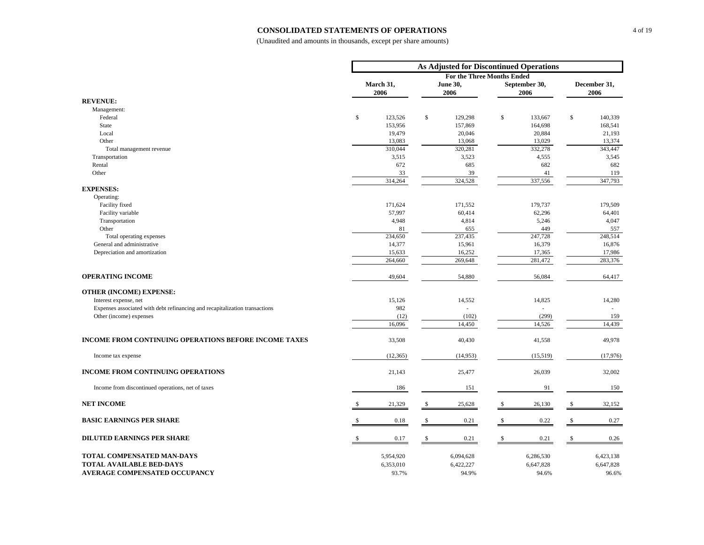#### **CONSOLIDATED STATEMENTS OF OPERATIONS**

|                                                                             | As Adjusted for Discontinued Operations |                   |              |                                   |              |                       |              |                      |
|-----------------------------------------------------------------------------|-----------------------------------------|-------------------|--------------|-----------------------------------|--------------|-----------------------|--------------|----------------------|
|                                                                             |                                         |                   |              | <b>For the Three Months Ended</b> |              |                       |              |                      |
|                                                                             |                                         | March 31,<br>2006 |              | June 30,<br>2006                  |              | September 30,<br>2006 |              | December 31,<br>2006 |
| <b>REVENUE:</b>                                                             |                                         |                   |              |                                   |              |                       |              |                      |
| Management:                                                                 |                                         |                   |              |                                   |              |                       |              |                      |
| Federal                                                                     | \$                                      | 123,526           | \$           | 129,298                           | \$           | 133,667               | \$           | 140,339              |
| <b>State</b>                                                                |                                         | 153,956           |              | 157,869                           |              | 164,698               |              | 168,541              |
| Local                                                                       |                                         | 19,479            |              | 20,046                            |              | 20,884                |              | 21,193               |
| Other                                                                       |                                         | 13,083<br>310,044 |              | 13,068<br>320,281                 |              | 13,029<br>332,278     |              | 13,374<br>343,447    |
| Total management revenue<br>Transportation                                  |                                         | 3,515             |              | 3,523                             |              | 4,555                 |              | 3,545                |
| Rental                                                                      |                                         | 672               |              | 685                               |              | 682                   |              | 682                  |
| Other                                                                       |                                         | 33                |              | 39                                |              | 41                    |              | 119                  |
|                                                                             |                                         | 314,264           |              | 324,528                           |              | 337,556               |              | 347,793              |
| <b>EXPENSES:</b>                                                            |                                         |                   |              |                                   |              |                       |              |                      |
| Operating:                                                                  |                                         |                   |              |                                   |              |                       |              |                      |
| Facility fixed                                                              |                                         | 171,624           |              | 171,552                           |              | 179,737               |              | 179,509              |
| Facility variable                                                           |                                         | 57,997            |              | 60,414                            |              | 62,296                |              | 64,401               |
| Transportation                                                              |                                         | 4,948             |              | 4,814                             |              | 5,246                 |              | 4,047                |
| Other                                                                       |                                         | 81                |              | 655                               |              | 449                   |              | 557                  |
| Total operating expenses                                                    |                                         | 234,650           |              | 237,435                           |              | 247,728               |              | 248,514              |
| General and administrative                                                  |                                         | 14,377            |              | 15,961                            |              | 16,379                |              | 16,876               |
| Depreciation and amortization                                               |                                         | 15,633<br>264,660 |              | 16,252<br>269,648                 |              | 17,365<br>281,472     |              | 17,986<br>283,376    |
|                                                                             |                                         |                   |              |                                   |              |                       |              |                      |
| <b>OPERATING INCOME</b>                                                     |                                         | 49,604            |              | 54,880                            |              | 56,084                |              | 64,417               |
| <b>OTHER (INCOME) EXPENSE:</b>                                              |                                         |                   |              |                                   |              |                       |              |                      |
| Interest expense, net                                                       |                                         | 15,126            |              | 14,552                            |              | 14,825                |              | 14,280               |
| Expenses associated with debt refinancing and recapitalization transactions |                                         | 982               |              | $\sim$                            |              |                       |              |                      |
| Other (income) expenses                                                     |                                         | (12)              |              | (102)                             |              | (299)                 |              | 159                  |
|                                                                             |                                         | 16,096            |              | 14,450                            |              | 14,526                |              | 14,439               |
| <b>INCOME FROM CONTINUING OPERATIONS BEFORE INCOME TAXES</b>                |                                         | 33,508            |              | 40,430                            |              | 41,558                |              | 49,978               |
| Income tax expense                                                          |                                         | (12, 365)         |              | (14, 953)                         |              | (15,519)              |              | (17,976)             |
| <b>INCOME FROM CONTINUING OPERATIONS</b>                                    |                                         | 21,143            |              | 25,477                            |              | 26,039                |              | 32,002               |
| Income from discontinued operations, net of taxes                           |                                         | 186               |              | 151                               |              | 91                    |              | 150                  |
| <b>NET INCOME</b>                                                           |                                         | 21,329            | \$           | 25,628                            |              | 26,130                | \$           | 32,152               |
| <b>BASIC EARNINGS PER SHARE</b>                                             | -S                                      | 0.18              | $\mathbb{S}$ | 0.21                              | $\mathbb{S}$ | 0.22                  | $\mathbb{S}$ | 0.27                 |
| <b>DILUTED EARNINGS PER SHARE</b>                                           | S                                       | 0.17              | \$           | 0.21                              | S            | 0.21                  | S            | 0.26                 |
| TOTAL COMPENSATED MAN-DAYS                                                  |                                         | 5,954,920         |              | 6,094,628                         |              | 6,286,530             |              | 6,423,138            |
| <b>TOTAL AVAILABLE BED-DAYS</b>                                             |                                         | 6,353,010         |              | 6,422,227                         |              | 6,647,828             |              | 6,647,828            |
| AVERAGE COMPENSATED OCCUPANCY                                               |                                         | 93.7%             |              | 94.9%                             |              | 94.6%                 |              | 96.6%                |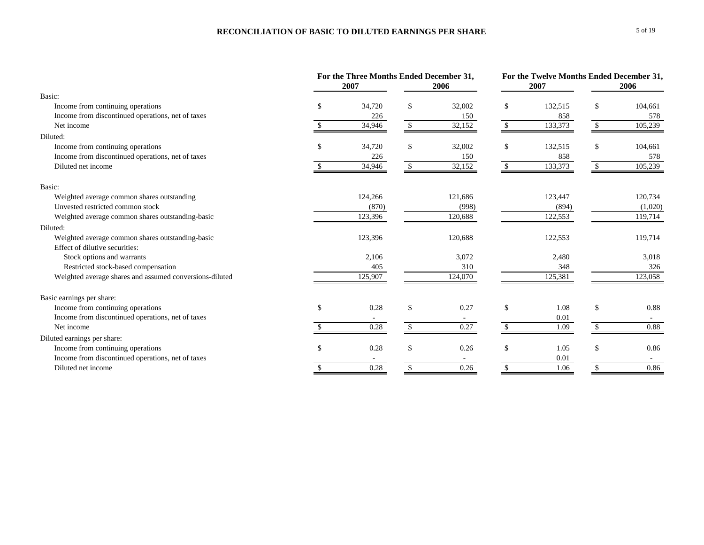### **RECONCILIATION OF BASIC TO DILUTED EARNINGS PER SHARE**

| 2007<br>2006                                                                             | 2007    |               |         |
|------------------------------------------------------------------------------------------|---------|---------------|---------|
|                                                                                          |         |               | 2006    |
| Basic:                                                                                   |         |               |         |
| 34,720<br>\$<br>32,002<br>\$<br>Income from continuing operations<br><sup>\$</sup>       | 132,515 | \$            | 104,661 |
| Income from discontinued operations, net of taxes<br>226<br>150                          | 858     |               | 578     |
| 32,152<br>Net income<br>34,946<br><sup>\$</sup>                                          | 133,373 | -S            | 105,239 |
| Diluted:                                                                                 |         |               |         |
| Income from continuing operations<br>34,720<br>\$<br>32,002<br>\$<br>£.                  | 132,515 | \$            | 104,661 |
| Income from discontinued operations, net of taxes<br>226<br>150                          | 858     |               | 578     |
| Diluted net income<br>34,946<br>32,152<br><sup>\$</sup>                                  | 133,373 | <sup>\$</sup> | 105,239 |
| Basic:                                                                                   |         |               |         |
| 124,266<br>121,686<br>Weighted average common shares outstanding                         | 123,447 |               | 120,734 |
| Unvested restricted common stock<br>(998)<br>(870)                                       | (894)   |               | (1,020) |
| Weighted average common shares outstanding-basic<br>123,396<br>120,688                   | 122,553 |               | 119,714 |
| Diluted:                                                                                 |         |               |         |
| Weighted average common shares outstanding-basic<br>123,396<br>120,688                   | 122,553 |               | 119,714 |
| Effect of dilutive securities:                                                           |         |               |         |
| Stock options and warrants<br>2,106<br>3,072                                             | 2,480   |               | 3,018   |
| Restricted stock-based compensation<br>405<br>310                                        | 348     |               | 326     |
| Weighted average shares and assumed conversions-diluted<br>125,907<br>124,070            | 125,381 |               | 123,058 |
| Basic earnings per share:                                                                |         |               |         |
| $\mathbf{s}$<br>Income from continuing operations<br>$\mathcal{S}$<br>0.28<br>0.27<br>\$ | 1.08    | $\mathbf{\$}$ | 0.88    |
| Income from discontinued operations, net of taxes                                        | 0.01    |               |         |
| $\mathbb{S}$<br>0.27<br>0.28<br>$\mathcal{S}$<br>Net income                              | 1.09    | \$            | 0.88    |
| Diluted earnings per share:                                                              |         |               |         |
| 0.28<br>\$<br>0.26<br>\$<br>Income from continuing operations<br><sup>\$</sup>           | 1.05    | $\mathbb{S}$  | 0.86    |
| Income from discontinued operations, net of taxes                                        | 0.01    |               |         |
| 0.26<br>0.28<br>Diluted net income<br>\$                                                 | 1.06    |               | 0.86    |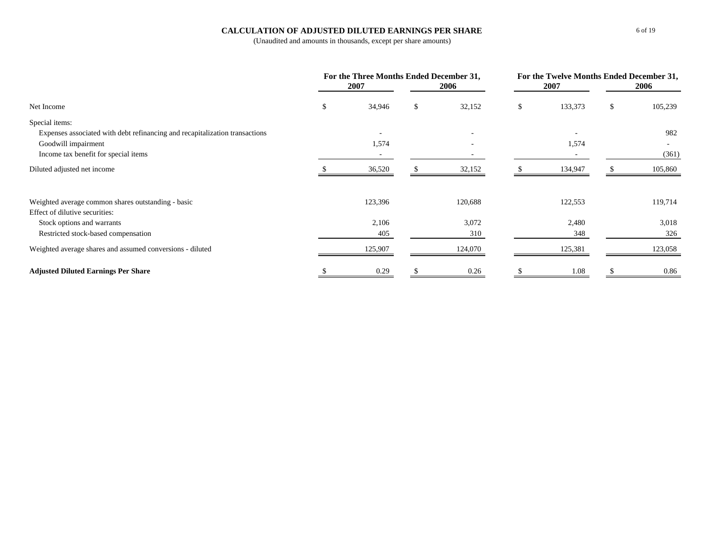#### **CALCULATION OF ADJUSTED DILUTED EARNINGS PER SHARE**

|                                                                             | For the Three Months Ended December 31,<br>2007<br>2006 |                          | 2007                     | For the Twelve Months Ended December 31,<br>2006 |    |         |
|-----------------------------------------------------------------------------|---------------------------------------------------------|--------------------------|--------------------------|--------------------------------------------------|----|---------|
| Net Income                                                                  | ъ                                                       | 34,946                   | \$<br>32,152             | \$<br>133,373                                    | \$ | 105,239 |
| Special items:                                                              |                                                         |                          |                          |                                                  |    |         |
| Expenses associated with debt refinancing and recapitalization transactions |                                                         | $\overline{\phantom{a}}$ |                          | $\overline{\phantom{a}}$                         |    | 982     |
| Goodwill impairment                                                         |                                                         | 1,574                    | $\overline{\phantom{a}}$ | 1,574                                            |    | $\sim$  |
| Income tax benefit for special items                                        |                                                         |                          |                          |                                                  |    | (361)   |
| Diluted adjusted net income                                                 |                                                         | 36,520                   | 32,152                   | 134,947                                          |    | 105,860 |
| Weighted average common shares outstanding - basic                          |                                                         | 123,396                  | 120,688                  | 122,553                                          |    | 119,714 |
| Effect of dilutive securities:                                              |                                                         |                          |                          |                                                  |    |         |
| Stock options and warrants                                                  |                                                         | 2,106                    | 3,072                    | 2,480                                            |    | 3,018   |
| Restricted stock-based compensation                                         |                                                         | 405                      | 310                      | 348                                              |    | 326     |
| Weighted average shares and assumed conversions - diluted                   |                                                         | 125,907                  | 124,070                  | 125,381                                          |    | 123,058 |
| <b>Adjusted Diluted Earnings Per Share</b>                                  |                                                         | 0.29                     | 0.26                     | 1.08                                             |    | 0.86    |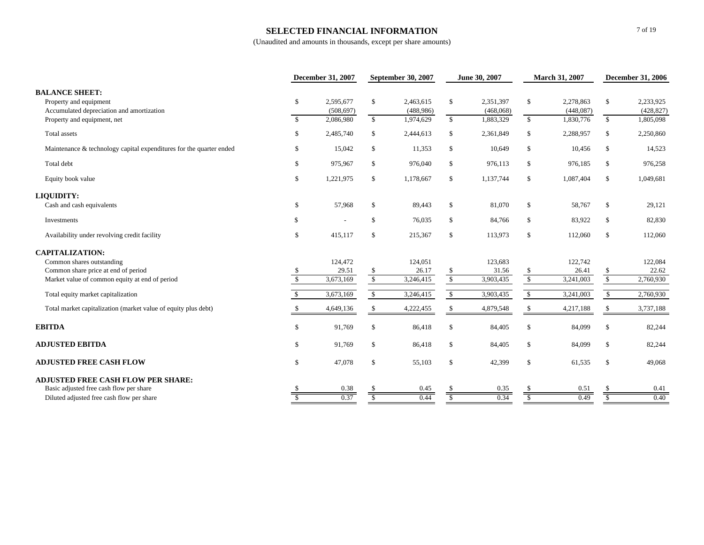#### **SELECTED FINANCIAL INFORMATION**

|                                                                                              |                          | <b>December 31, 2007</b> |              | September 30, 2007      |                         | June 30, 2007          | March 31, 2007           |                        | <b>December 31, 2006</b> |                         |
|----------------------------------------------------------------------------------------------|--------------------------|--------------------------|--------------|-------------------------|-------------------------|------------------------|--------------------------|------------------------|--------------------------|-------------------------|
| <b>BALANCE SHEET:</b><br>Property and equipment<br>Accumulated depreciation and amortization | \$                       | 2,595,677<br>(508, 697)  | \$           | 2,463,615<br>(488, 986) | $\mathbb{S}$            | 2,351,397<br>(468,068) | \$                       | 2,278,863<br>(448,087) | \$                       | 2,233,925<br>(428, 827) |
| Property and equipment, net                                                                  | $\mathbb{S}$             | 2,086,980                | $\mathbb{S}$ | 1,974,629               | $\mathbb{S}$            | 1,883,329              | $\mathbb{S}$             | 1,830,776              | $\mathbb{S}$             | 1,805,098               |
| Total assets                                                                                 | \$                       | 2,485,740                | \$           | 2,444,613               | \$                      | 2,361,849              | \$                       | 2,288,957              | \$                       | 2,250,860               |
| Maintenance & technology capital expenditures for the quarter ended                          | \$                       | 15,042                   | \$           | 11,353                  | \$                      | 10,649                 | \$                       | 10,456                 | \$                       | 14,523                  |
| Total debt                                                                                   | \$                       | 975,967                  | \$           | 976,040                 | $\mathbb{S}$            | 976,113                | \$                       | 976,185                | \$                       | 976,258                 |
| Equity book value                                                                            | \$                       | 1,221,975                | \$           | 1,178,667               | \$                      | 1,137,744              | \$                       | 1,087,404              | \$                       | 1,049,681               |
| <b>LIQUIDITY:</b>                                                                            |                          |                          |              |                         |                         |                        |                          |                        |                          |                         |
| Cash and cash equivalents                                                                    | \$                       | 57,968                   | \$           | 89,443                  | \$                      | 81,070                 | \$                       | 58,767                 | \$                       | 29,121                  |
| Investments                                                                                  | \$                       |                          | \$           | 76,035                  | \$                      | 84,766                 | \$                       | 83,922                 | \$                       | 82,830                  |
| Availability under revolving credit facility                                                 | \$                       | 415,117                  | \$           | 215,367                 | $\$$                    | 113,973                | \$                       | 112,060                | \$                       | 112,060                 |
| <b>CAPITALIZATION:</b>                                                                       |                          |                          |              |                         |                         |                        |                          |                        |                          |                         |
| Common shares outstanding                                                                    |                          | 124,472                  |              | 124,051                 |                         | 123,683                |                          | 122,742                |                          | 122,084                 |
| Common share price at end of period                                                          | -S                       | 29.51                    | \$           | 26.17                   | \$                      | 31.56                  | \$                       | 26.41                  | \$                       | 22.62                   |
| Market value of common equity at end of period                                               | $\mathcal{S}$            | 3,673,169                | $\mathbb{S}$ | 3,246,415               | $\sqrt{\frac{2}{\pi}}$  | 3,903,435              | $\overline{\$}$          | 3,241,003              | $\sqrt{\frac{2}{\pi}}$   | 2,760,930               |
| Total equity market capitalization                                                           | \$                       | 3,673,169                | $\mathbb{S}$ | 3,246,415               | $\mathbb{S}$            | 3,903,435              | $\mathbb{S}$             | 3,241,003              | $\mathbb{S}$             | 2,760,930               |
| Total market capitalization (market value of equity plus debt)                               |                          | 4,649,136                | \$           | 4,222,455               | \$                      | 4,879,548              | \$                       | 4,217,188              | \$                       | 3,737,188               |
| <b>EBITDA</b>                                                                                | \$                       | 91,769                   | \$           | 86,418                  | $\$$                    | 84,405                 | \$                       | 84,099                 | \$                       | 82,244                  |
| <b>ADJUSTED EBITDA</b>                                                                       | \$                       | 91,769                   | \$           | 86,418                  | \$                      | 84,405                 | \$                       | 84,099                 | \$                       | 82,244                  |
| <b>ADJUSTED FREE CASH FLOW</b>                                                               | \$                       | 47,078                   | \$           | 55,103                  | \$                      | 42,399                 | \$                       | 61,535                 | \$                       | 49,068                  |
| <b>ADJUSTED FREE CASH FLOW PER SHARE:</b>                                                    |                          |                          |              |                         |                         |                        |                          |                        |                          |                         |
| Basic adjusted free cash flow per share                                                      |                          | 0.38                     | S            | 0.45                    | -S                      | 0.35                   | \$                       | 0.51                   | \$                       | 0.41                    |
| Diluted adjusted free cash flow per share                                                    | $\overline{\mathcal{S}}$ | 0.37                     | \$           | 0.44                    | $\overline{\mathbb{S}}$ | 0.34                   | $\overline{\mathcal{S}}$ | 0.49                   | $\overline{\mathcal{S}}$ | 0.40                    |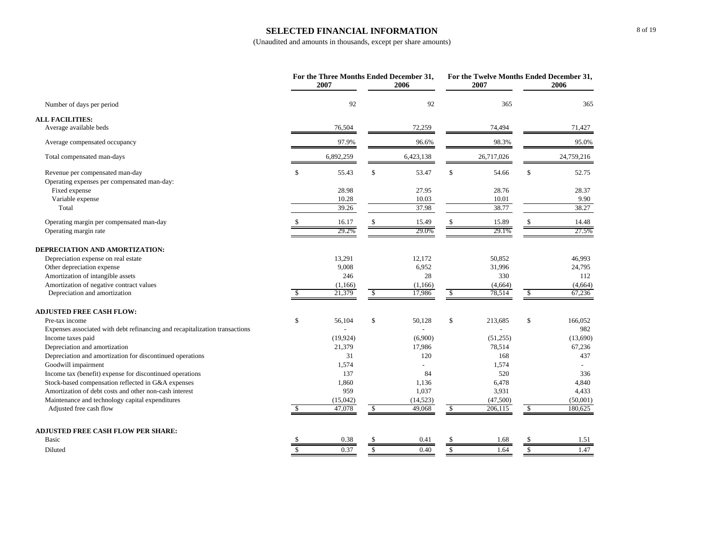#### **SELECTED FINANCIAL INFORMATION**

|                                                                             |     | For the Three Months Ended December 31,<br>2007 |               | 2006      |    | For the Twelve Months Ended December 31,<br>2007 | 2006          |
|-----------------------------------------------------------------------------|-----|-------------------------------------------------|---------------|-----------|----|--------------------------------------------------|---------------|
| Number of days per period                                                   |     | 92                                              |               | 92        |    | 365                                              | 365           |
| <b>ALL FACILITIES:</b>                                                      |     |                                                 |               |           |    |                                                  |               |
| Average available beds                                                      |     | 76,504                                          |               | 72,259    |    | 74,494                                           | 71,427        |
| Average compensated occupancy                                               |     | 97.9%                                           |               | 96.6%     |    | 98.3%                                            | 95.0%         |
| Total compensated man-days                                                  |     | 6,892,259                                       |               | 6,423,138 |    | 26,717,026                                       | 24,759,216    |
| Revenue per compensated man-day                                             | \$. | 55.43                                           | \$            | 53.47     | \$ | 54.66                                            | \$<br>52.75   |
| Operating expenses per compensated man-day:                                 |     |                                                 |               |           |    |                                                  |               |
| Fixed expense                                                               |     | 28.98                                           |               | 27.95     |    | 28.76                                            | 28.37         |
| Variable expense                                                            |     | 10.28                                           |               | 10.03     |    | 10.01                                            | 9.90          |
| Total                                                                       |     | 39.26                                           |               | 37.98     |    | 38.77                                            | 38.27         |
| Operating margin per compensated man-day                                    |     | 16.17                                           |               | 15.49     |    | 15.89                                            | 14.48         |
| Operating margin rate                                                       |     | 29.2%                                           |               | 29.0%     |    | 29.1%                                            | 27.5%         |
| DEPRECIATION AND AMORTIZATION:                                              |     |                                                 |               |           |    |                                                  |               |
| Depreciation expense on real estate                                         |     | 13,291                                          |               | 12,172    |    | 50,852                                           | 46,993        |
| Other depreciation expense                                                  |     | 9,008                                           |               | 6,952     |    | 31,996                                           | 24,795        |
| Amortization of intangible assets                                           |     | 246                                             |               | 28        |    | 330                                              | 112           |
| Amortization of negative contract values                                    |     | (1,166)                                         |               | (1,166)   |    | (4,664)                                          | (4,664)       |
| Depreciation and amortization                                               |     | 21,379                                          | <sup>\$</sup> | 17,986    | S  | 78,514                                           | \$<br>67,236  |
| <b>ADJUSTED FREE CASH FLOW:</b>                                             |     |                                                 |               |           |    |                                                  |               |
| Pre-tax income                                                              | \$  | 56,104                                          | \$            | 50,128    | \$ | 213,685                                          | \$<br>166,052 |
| Expenses associated with debt refinancing and recapitalization transactions |     |                                                 |               |           |    |                                                  | 982           |
| Income taxes paid                                                           |     | (19, 924)                                       |               | (6,900)   |    | (51,255)                                         | (13,690)      |
| Depreciation and amortization                                               |     | 21,379                                          |               | 17,986    |    | 78,514                                           | 67,236        |
| Depreciation and amortization for discontinued operations                   |     | 31                                              |               | 120       |    | 168                                              | 437           |
| Goodwill impairment                                                         |     | 1,574                                           |               |           |    | 1,574                                            |               |
| Income tax (benefit) expense for discontinued operations                    |     | 137                                             |               | 84        |    | 520                                              | 336           |
| Stock-based compensation reflected in G&A expenses                          |     | 1,860                                           |               | 1,136     |    | 6,478                                            | 4,840         |
| Amortization of debt costs and other non-cash interest                      |     | 959                                             |               | 1,037     |    | 3,931                                            | 4,433         |
| Maintenance and technology capital expenditures                             |     | (15,042)                                        |               | (14, 523) |    | (47,500)                                         | (50,001)      |
| Adjusted free cash flow                                                     |     | 47,078                                          | \$            | 49,068    | \$ | 206,115                                          | \$<br>180,625 |
| <b>ADJUSTED FREE CASH FLOW PER SHARE:</b>                                   |     |                                                 |               |           |    |                                                  |               |
| Basic                                                                       |     | 0.38                                            |               | 0.41      | \$ | 1.68                                             | 1.51          |
| Diluted                                                                     | S   | 0.37                                            | $\mathbb{S}$  | 0.40      | \$ | 1.64                                             | \$<br>1.47    |
|                                                                             |     |                                                 |               |           |    |                                                  |               |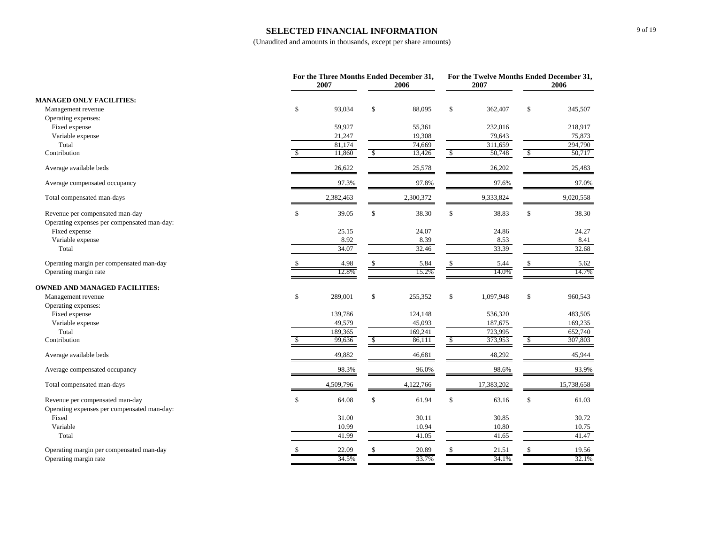#### **SELECTED FINANCIAL INFORMATION**

|                                                                                |               | 2007      |               | For the Three Months Ended December 31,<br>2006 |                        | For the Twelve Months Ended December 31,<br>2007 |    | 2006       |
|--------------------------------------------------------------------------------|---------------|-----------|---------------|-------------------------------------------------|------------------------|--------------------------------------------------|----|------------|
| <b>MANAGED ONLY FACILITIES:</b>                                                |               |           |               |                                                 |                        |                                                  |    |            |
| Management revenue                                                             | \$            | 93,034    | $\mathbb{S}$  | 88.095                                          | \$                     | 362,407                                          | \$ | 345,507    |
| Operating expenses:                                                            |               |           |               |                                                 |                        |                                                  |    |            |
| Fixed expense                                                                  |               | 59,927    |               | 55,361                                          |                        | 232,016                                          |    | 218,917    |
| Variable expense                                                               |               | 21,247    |               | 19,308                                          |                        | 79,643                                           |    | 75,873     |
| Total                                                                          |               | 81,174    |               | 74,669                                          |                        | 311,659                                          |    | 294,790    |
| Contribution                                                                   | <sup>\$</sup> | 11,860    | $\sqrt{2}$    | 13,426                                          | $\sqrt{\frac{2}{3}}$   | 50,748                                           | \$ | 50,717     |
| Average available beds                                                         |               | 26,622    |               | 25,578                                          |                        | 26,202                                           |    | 25,483     |
| Average compensated occupancy                                                  |               | 97.3%     |               | 97.8%                                           |                        | 97.6%                                            |    | 97.0%      |
| Total compensated man-days                                                     |               | 2,382,463 |               | 2,300,372                                       |                        | 9,333,824                                        |    | 9,020,558  |
| Revenue per compensated man-day<br>Operating expenses per compensated man-day: | \$            | 39.05     | $\mathbb{S}$  | 38.30                                           | \$                     | 38.83                                            | \$ | 38.30      |
| Fixed expense                                                                  |               | 25.15     |               | 24.07                                           |                        | 24.86                                            |    | 24.27      |
| Variable expense                                                               |               | 8.92      |               | 8.39                                            |                        | 8.53                                             |    | 8.41       |
| Total                                                                          |               | 34.07     |               | 32.46                                           |                        | 33.39                                            |    | 32.68      |
| Operating margin per compensated man-day                                       |               | 4.98      | \$            | 5.84                                            | \$                     | 5.44                                             | S  | 5.62       |
| Operating margin rate                                                          |               | 12.8%     |               | 15.2%                                           |                        | 14.0%                                            |    | 14.7%      |
| <b>OWNED AND MANAGED FACILITIES:</b>                                           |               |           |               |                                                 |                        |                                                  |    |            |
| Management revenue                                                             | \$            | 289,001   | $\mathbb{S}$  | 255,352                                         | \$                     | 1,097,948                                        | \$ | 960,543    |
| Operating expenses:                                                            |               |           |               |                                                 |                        |                                                  |    |            |
| Fixed expense                                                                  |               | 139,786   |               | 124,148                                         |                        | 536,320                                          |    | 483,505    |
| Variable expense                                                               |               | 49,579    |               | 45,093                                          |                        | 187.675                                          |    | 169,235    |
| Total                                                                          |               | 189,365   |               | 169,241                                         |                        | 723,995                                          |    | 652,740    |
| Contribution                                                                   | <sup>\$</sup> | 99,636    | $\mathcal{S}$ | 86,111                                          | $\sqrt{s}$             | 373,953                                          | \$ | 307,803    |
| Average available beds                                                         |               | 49,882    |               | 46,681                                          |                        | 48,292                                           |    | 45,944     |
| Average compensated occupancy                                                  |               | 98.3%     |               | 96.0%                                           |                        | 98.6%                                            |    | 93.9%      |
| Total compensated man-days                                                     |               | 4,509,796 |               | 4,122,766                                       |                        | 17,383,202                                       |    | 15,738,658 |
| Revenue per compensated man-day                                                | \$            | 64.08     | \$            | 61.94                                           | \$                     | 63.16                                            | \$ | 61.03      |
| Operating expenses per compensated man-day:                                    |               |           |               |                                                 |                        |                                                  |    |            |
| Fixed                                                                          |               | 31.00     |               | 30.11                                           |                        | 30.85                                            |    | 30.72      |
| Variable                                                                       |               | 10.99     |               | 10.94                                           |                        | 10.80                                            |    | 10.75      |
| Total                                                                          |               | 41.99     |               | 41.05                                           |                        | 41.65                                            |    | 41.47      |
| Operating margin per compensated man-day                                       |               | 22.09     | $\mathbb{S}$  | 20.89                                           | $\mathbf{\mathcal{S}}$ | 21.51                                            | \$ | 19.56      |
| Operating margin rate                                                          |               | 34.5%     |               | 33.7%                                           |                        | 34.1%                                            |    | 32.1%      |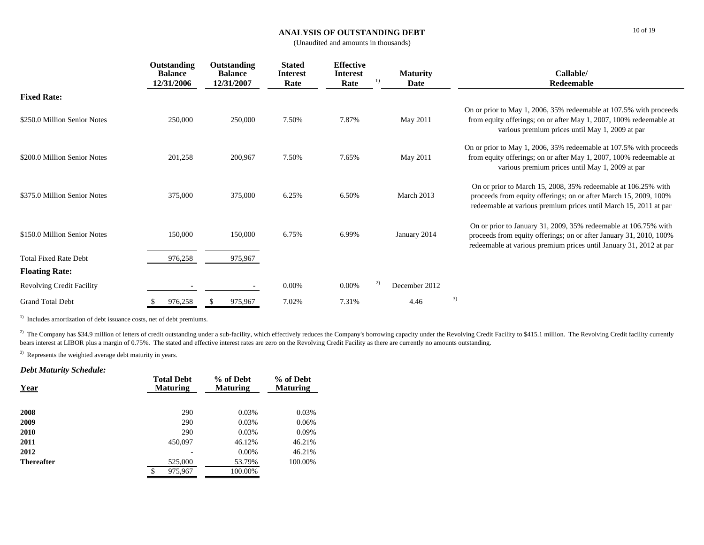#### **ANALYSIS OF OUTSTANDING DEBT**

(Unaudited and amounts in thousands)

|                                  | Outstanding<br><b>Balance</b><br><b>12/31/2006</b> | Outstanding<br><b>Balance</b><br>12/31/2007 | <b>Stated</b><br><b>Interest</b><br>Rate | <b>Effective</b><br><b>Interest</b><br>Rate | 1) | <b>Maturity</b><br>Date | Callable/<br>Redeemable                                                                                                                                                                                     |
|----------------------------------|----------------------------------------------------|---------------------------------------------|------------------------------------------|---------------------------------------------|----|-------------------------|-------------------------------------------------------------------------------------------------------------------------------------------------------------------------------------------------------------|
| <b>Fixed Rate:</b>               |                                                    |                                             |                                          |                                             |    |                         |                                                                                                                                                                                                             |
| \$250.0 Million Senior Notes     | 250,000                                            | 250,000                                     | 7.50%                                    | 7.87%                                       |    | May 2011                | On or prior to May 1, 2006, 35% redeemable at 107.5% with proceeds<br>from equity offerings; on or after May 1, 2007, 100% redeemable at<br>various premium prices until May 1, 2009 at par                 |
| \$200.0 Million Senior Notes     | 201,258                                            | 200,967                                     | 7.50%                                    | 7.65%                                       |    | May 2011                | On or prior to May 1, 2006, 35% redeemable at 107.5% with proceeds<br>from equity offerings; on or after May 1, 2007, 100% redeemable at<br>various premium prices until May 1, 2009 at par                 |
| \$375.0 Million Senior Notes     | 375,000                                            | 375,000                                     | 6.25%                                    | 6.50%                                       |    | March 2013              | On or prior to March 15, 2008, 35% redeemable at 106.25% with<br>proceeds from equity offerings; on or after March 15, 2009, 100%<br>redeemable at various premium prices until March 15, 2011 at par       |
| \$150.0 Million Senior Notes     | 150,000                                            | 150,000                                     | 6.75%                                    | 6.99%                                       |    | January 2014            | On or prior to January 31, 2009, 35% redeemable at 106.75% with<br>proceeds from equity offerings; on or after January 31, 2010, 100%<br>redeemable at various premium prices until January 31, 2012 at par |
| <b>Total Fixed Rate Debt</b>     | 976,258                                            | 975,967                                     |                                          |                                             |    |                         |                                                                                                                                                                                                             |
| <b>Floating Rate:</b>            |                                                    |                                             |                                          |                                             |    |                         |                                                                                                                                                                                                             |
| <b>Revolving Credit Facility</b> |                                                    |                                             | 0.00%                                    | $0.00\%$                                    | 2) | December 2012           |                                                                                                                                                                                                             |
| <b>Grand Total Debt</b>          | 976,258                                            | 975,967                                     | 7.02%                                    | 7.31%                                       |    | 4.46                    | 3)                                                                                                                                                                                                          |

<sup>1)</sup> Includes amortization of debt issuance costs, net of debt premiums.

<sup>2)</sup> The Company has \$34.9 million of letters of credit outstanding under a sub-facility, which effectively reduces the Company's borrowing capacity under the Revolving Credit Facility to \$415.1 million. The Revolving Cred bears interest at LIBOR plus a margin of 0.75%. The stated and effective interest rates are zero on the Revolving Credit Facility as there are currently no amounts outstanding.

<sup>3)</sup> Represents the weighted average debt maturity in years.

#### *Debt Maturity Schedule:*

| <b>Total Debt</b><br><b>Maturing</b> | % of Debt<br><b>Maturing</b> | % of Debt<br><b>Maturing</b> |
|--------------------------------------|------------------------------|------------------------------|
| 290                                  | 0.03%                        | 0.03%                        |
| 290                                  | 0.03%                        | 0.06%                        |
| 290                                  | 0.03%                        | 0.09%                        |
| 450,097                              | 46.12%                       | 46.21%                       |
|                                      | $0.00\%$                     | 46.21%                       |
| 525,000                              | 53.79%                       | 100.00%                      |
| \$<br>975,967                        | 100.00%                      |                              |
|                                      |                              |                              |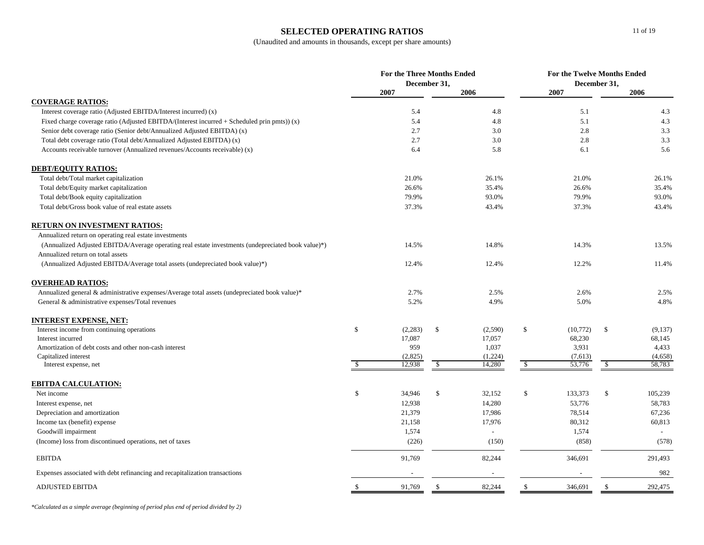### **SELECTED OPERATING RATIOS**

### (Unaudited and amounts in thousands, except per share amounts)

|                                                                                                    | For the Three Months Ended<br>December 31, |         |              | <b>For the Twelve Months Ended</b><br>December 31, |               |          |               |         |
|----------------------------------------------------------------------------------------------------|--------------------------------------------|---------|--------------|----------------------------------------------------|---------------|----------|---------------|---------|
|                                                                                                    | 2007                                       |         |              | 2006                                               |               | 2007     |               | 2006    |
| <b>COVERAGE RATIOS:</b>                                                                            |                                            |         |              |                                                    |               |          |               |         |
| Interest coverage ratio (Adjusted EBITDA/Interest incurred) (x)                                    |                                            | 5.4     |              | 4.8                                                |               | 5.1      |               | 4.3     |
| Fixed charge coverage ratio (Adjusted EBITDA/(Interest incurred $+$ Scheduled prin pmts)) (x)      |                                            | 5.4     |              | 4.8                                                |               | 5.1      |               | 4.3     |
| Senior debt coverage ratio (Senior debt/Annualized Adjusted EBITDA) (x)                            |                                            | 2.7     |              | 3.0                                                |               | 2.8      |               | 3.3     |
| Total debt coverage ratio (Total debt/Annualized Adjusted EBITDA) (x)                              |                                            | 2.7     |              | 3.0                                                |               | 2.8      |               | 3.3     |
| Accounts receivable turnover (Annualized revenues/Accounts receivable) (x)                         |                                            | 6.4     |              | 5.8                                                |               | 6.1      |               | 5.6     |
| <b>DEBT/EQUITY RATIOS:</b>                                                                         |                                            |         |              |                                                    |               |          |               |         |
| Total debt/Total market capitalization                                                             |                                            | 21.0%   |              | 26.1%                                              |               | 21.0%    |               | 26.1%   |
| Total debt/Equity market capitalization                                                            |                                            | 26.6%   |              | 35.4%                                              |               | 26.6%    |               | 35.4%   |
| Total debt/Book equity capitalization                                                              |                                            | 79.9%   |              | 93.0%                                              |               | 79.9%    |               | 93.0%   |
| Total debt/Gross book value of real estate assets                                                  |                                            | 37.3%   |              | 43.4%                                              |               | 37.3%    |               | 43.4%   |
| <b>RETURN ON INVESTMENT RATIOS:</b>                                                                |                                            |         |              |                                                    |               |          |               |         |
| Annualized return on operating real estate investments                                             |                                            |         |              |                                                    |               |          |               |         |
| (Annualized Adjusted EBITDA/Average operating real estate investments (undepreciated book value)*) |                                            | 14.5%   |              | 14.8%                                              |               | 14.3%    |               | 13.5%   |
| Annualized return on total assets                                                                  |                                            |         |              |                                                    |               |          |               |         |
| (Annualized Adjusted EBITDA/Average total assets (undepreciated book value)*)                      |                                            | 12.4%   |              | 12.4%                                              |               | 12.2%    |               | 11.4%   |
| <b>OVERHEAD RATIOS:</b>                                                                            |                                            |         |              |                                                    |               |          |               |         |
| Annualized general & administrative expenses/Average total assets (undepreciated book value)*      |                                            | 2.7%    |              | 2.5%                                               |               | 2.6%     |               | 2.5%    |
| General & administrative expenses/Total revenues                                                   |                                            | 5.2%    |              | 4.9%                                               |               | 5.0%     |               | 4.8%    |
| <b>INTEREST EXPENSE, NET:</b>                                                                      |                                            |         |              |                                                    |               |          |               |         |
| Interest income from continuing operations                                                         | $\mathbb S$                                | (2,283) | $\mathbb{S}$ | (2,590)                                            | \$            | (10,772) | <sup>\$</sup> | (9,137) |
| Interest incurred                                                                                  |                                            | 17,087  |              | 17,057                                             |               | 68,230   |               | 68,145  |
| Amortization of debt costs and other non-cash interest                                             |                                            | 959     |              | 1,037                                              |               | 3,931    |               | 4,433   |
| Capitalized interest                                                                               |                                            | (2,825) |              | (1,224)                                            |               | (7,613)  |               | (4,658) |
| Interest expense, net                                                                              | -S                                         | 12,938  | \$           | 14,280                                             | \$            | 53,776   | -S            | 58,783  |
| <b>EBITDA CALCULATION:</b>                                                                         |                                            |         |              |                                                    |               |          |               |         |
| Net income                                                                                         | \$                                         | 34,946  | $\mathbb{S}$ | 32,152                                             | \$            | 133,373  | $\mathbb{S}$  | 105,239 |
| Interest expense, net                                                                              |                                            | 12,938  |              | 14,280                                             |               | 53,776   |               | 58,783  |
| Depreciation and amortization                                                                      |                                            | 21,379  |              | 17,986                                             |               | 78,514   |               | 67,236  |
| Income tax (benefit) expense                                                                       |                                            | 21,158  |              | 17,976                                             |               | 80,312   |               | 60,813  |
| Goodwill impairment                                                                                |                                            | 1,574   |              |                                                    |               | 1,574    |               |         |
| (Income) loss from discontinued operations, net of taxes                                           |                                            | (226)   |              | (150)                                              |               | (858)    |               | (578)   |
| <b>EBITDA</b>                                                                                      |                                            | 91,769  |              | 82,244                                             |               | 346,691  |               | 291,493 |
| Expenses associated with debt refinancing and recapitalization transactions                        |                                            |         |              |                                                    |               |          |               | 982     |
| <b>ADJUSTED EBITDA</b>                                                                             |                                            | 91,769  | \$           | 82,244                                             | <sup>\$</sup> | 346,691  | \$            | 292,475 |

*\*Calculated as a simple average (beginning of period plus end of period divided by 2)*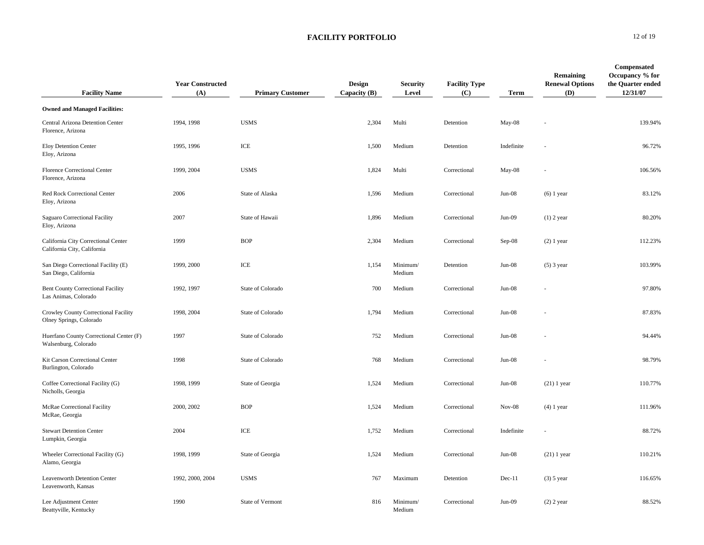| <b>Facility Name</b>                                               | <b>Year Constructed</b><br>(A) | <b>Primary Customer</b> | <b>Design</b><br>Capacity (B) | Security<br>Level  | <b>Facility Type</b><br>(C) | <b>Term</b> | <b>Remaining</b><br><b>Renewal Options</b><br>(D) | Compensated<br>Occupancy % for<br>the Quarter ended<br>12/31/07 |
|--------------------------------------------------------------------|--------------------------------|-------------------------|-------------------------------|--------------------|-----------------------------|-------------|---------------------------------------------------|-----------------------------------------------------------------|
| <b>Owned and Managed Facilities:</b>                               |                                |                         |                               |                    |                             |             |                                                   |                                                                 |
| Central Arizona Detention Center<br>Florence, Arizona              | 1994, 1998                     | <b>USMS</b>             | 2,304                         | Multi              | Detention                   | $May-08$    |                                                   | 139.94%                                                         |
| Eloy Detention Center<br>Eloy, Arizona                             | 1995, 1996                     | ICE                     | 1,500                         | Medium             | Detention                   | Indefinite  |                                                   | 96.72%                                                          |
| Florence Correctional Center<br>Florence, Arizona                  | 1999, 2004                     | <b>USMS</b>             | 1,824                         | Multi              | Correctional                | May-08      |                                                   | 106.56%                                                         |
| Red Rock Correctional Center<br>Eloy, Arizona                      | 2006                           | State of Alaska         | 1,596                         | Medium             | Correctional                | $Jun-08$    | $(6)$ 1 year                                      | 83.12%                                                          |
| Saguaro Correctional Facility<br>Eloy, Arizona                     | 2007                           | State of Hawaii         | 1,896                         | Medium             | Correctional                | Jun-09      | $(1)$ 2 year                                      | 80.20%                                                          |
| California City Correctional Center<br>California City, California | 1999                           | <b>BOP</b>              | 2,304                         | Medium             | Correctional                | Sep-08      | $(2)$ 1 year                                      | 112.23%                                                         |
| San Diego Correctional Facility (E)<br>San Diego, California       | 1999, 2000                     | ICE                     | 1,154                         | Minimum/<br>Medium | Detention                   | $Jun-08$    | $(5)$ 3 year                                      | 103.99%                                                         |
| Bent County Correctional Facility<br>Las Animas, Colorado          | 1992, 1997                     | State of Colorado       | 700                           | Medium             | Correctional                | $Jun-08$    |                                                   | 97.80%                                                          |
| Crowley County Correctional Facility<br>Olney Springs, Colorado    | 1998, 2004                     | State of Colorado       | 1,794                         | Medium             | Correctional                | Jun-08      |                                                   | 87.83%                                                          |
| Huerfano County Correctional Center (F)<br>Walsenburg, Colorado    | 1997                           | State of Colorado       | 752                           | Medium             | Correctional                | Jun-08      |                                                   | 94.44%                                                          |
| Kit Carson Correctional Center<br>Burlington, Colorado             | 1998                           | State of Colorado       | 768                           | Medium             | Correctional                | Jun-08      |                                                   | 98.79%                                                          |
| Coffee Correctional Facility (G)<br>Nicholls, Georgia              | 1998, 1999                     | State of Georgia        | 1,524                         | Medium             | Correctional                | $Jun-08$    | $(21)$ 1 year                                     | 110.77%                                                         |
| McRae Correctional Facility<br>McRae, Georgia                      | 2000, 2002                     | <b>BOP</b>              | 1,524                         | Medium             | Correctional                | $Nov-08$    | $(4)$ 1 year                                      | 111.96%                                                         |
| <b>Stewart Detention Center</b><br>Lumpkin, Georgia                | 2004                           | ICE                     | 1,752                         | Medium             | Correctional                | Indefinite  |                                                   | 88.72%                                                          |
| Wheeler Correctional Facility (G)<br>Alamo, Georgia                | 1998, 1999                     | State of Georgia        | 1,524                         | Medium             | Correctional                | $Jun-08$    | $(21)$ 1 year                                     | 110.21%                                                         |
| <b>Leavenworth Detention Center</b><br>Leavenworth, Kansas         | 1992, 2000, 2004               | <b>USMS</b>             | 767                           | Maximum            | Detention                   | $Dec-11$    | $(3)$ 5 year                                      | 116.65%                                                         |
| Lee Adjustment Center<br>Beattyville, Kentucky                     | 1990                           | State of Vermont        | 816                           | Minimum/<br>Medium | Correctional                | $Jun-09$    | $(2)$ 2 year                                      | 88.52%                                                          |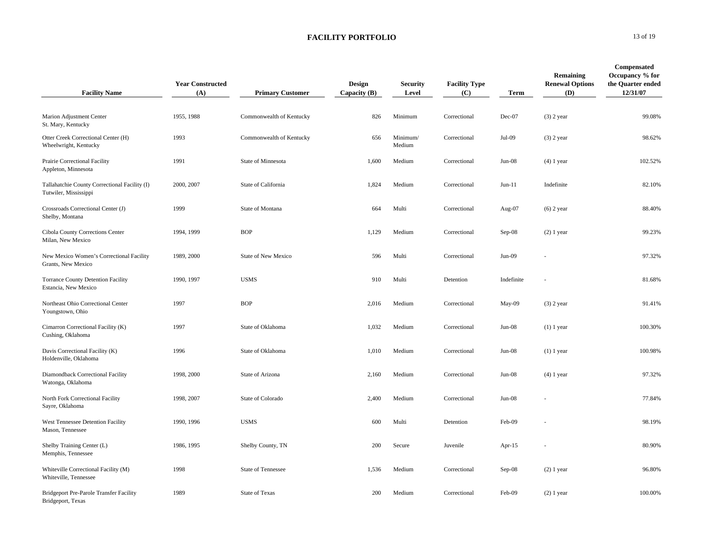| <b>Facility Name</b>                                                   | <b>Year Constructed</b><br>(A) | <b>Primary Customer</b>   | Design<br>Capacity $(B)$ | <b>Security</b><br>Level | <b>Facility Type</b><br>(C) | <b>Term</b> | Remaining<br><b>Renewal Options</b><br>(D) | Compensated<br>Occupancy % for<br>the Quarter ended<br>12/31/07 |
|------------------------------------------------------------------------|--------------------------------|---------------------------|--------------------------|--------------------------|-----------------------------|-------------|--------------------------------------------|-----------------------------------------------------------------|
| Marion Adjustment Center<br>St. Mary, Kentucky                         | 1955, 1988                     | Commonwealth of Kentucky  | 826                      | Minimum                  | Correctional                | Dec-07      | $(3)$ 2 year                               | 99.08%                                                          |
| Otter Creek Correctional Center (H)<br>Wheelwright, Kentucky           | 1993                           | Commonwealth of Kentucky  | 656                      | Minimum/<br>Medium       | Correctional                | Jul-09      | $(3)$ 2 year                               | 98.62%                                                          |
| Prairie Correctional Facility<br>Appleton, Minnesota                   | 1991                           | State of Minnesota        | 1,600                    | Medium                   | Correctional                | Jun-08      | $(4)$ 1 year                               | 102.52%                                                         |
| Tallahatchie County Correctional Facility (I)<br>Tutwiler, Mississippi | 2000, 2007                     | State of California       | 1,824                    | Medium                   | Correctional                | $Jun-11$    | Indefinite                                 | 82.10%                                                          |
| Crossroads Correctional Center (J)<br>Shelby, Montana                  | 1999                           | State of Montana          | 664                      | Multi                    | Correctional                | Aug-07      | $(6)$ 2 year                               | 88.40%                                                          |
| Cibola County Corrections Center<br>Milan, New Mexico                  | 1994, 1999                     | <b>BOP</b>                | 1,129                    | Medium                   | Correctional                | $Sep-08$    | $(2)$ 1 year                               | 99.23%                                                          |
| New Mexico Women's Correctional Facility<br>Grants, New Mexico         | 1989, 2000                     | State of New Mexico       | 596                      | Multi                    | Correctional                | $Jun-09$    |                                            | 97.32%                                                          |
| Torrance County Detention Facility<br>Estancia, New Mexico             | 1990, 1997                     | <b>USMS</b>               | 910                      | Multi                    | Detention                   | Indefinite  |                                            | 81.68%                                                          |
| Northeast Ohio Correctional Center<br>Youngstown, Ohio                 | 1997                           | <b>BOP</b>                | 2,016                    | Medium                   | Correctional                | May-09      | $(3)$ 2 year                               | 91.41%                                                          |
| Cimarron Correctional Facility (K)<br>Cushing, Oklahoma                | 1997                           | State of Oklahoma         | 1,032                    | Medium                   | Correctional                | $Jun-08$    | $(1)$ 1 year                               | 100.30%                                                         |
| Davis Correctional Facility (K)<br>Holdenville, Oklahoma               | 1996                           | State of Oklahoma         | 1,010                    | Medium                   | Correctional                | $Jun-08$    | $(1)$ 1 year                               | 100.98%                                                         |
| Diamondback Correctional Facility<br>Watonga, Oklahoma                 | 1998, 2000                     | State of Arizona          | 2,160                    | Medium                   | Correctional                | $Jun-08$    | $(4)$ 1 year                               | 97.32%                                                          |
| North Fork Correctional Facility<br>Sayre, Oklahoma                    | 1998, 2007                     | State of Colorado         | 2,400                    | Medium                   | Correctional                | $Jun-08$    |                                            | 77.84%                                                          |
| West Tennessee Detention Facility<br>Mason, Tennessee                  | 1990, 1996                     | <b>USMS</b>               | 600                      | Multi                    | Detention                   | Feb-09      |                                            | 98.19%                                                          |
| Shelby Training Center (L)<br>Memphis, Tennessee                       | 1986, 1995                     | Shelby County, TN         | 200                      | Secure                   | Juvenile                    | Apr- $15$   |                                            | 80.90%                                                          |
| Whiteville Correctional Facility (M)<br>Whiteville, Tennessee          | 1998                           | <b>State of Tennessee</b> | 1,536                    | Medium                   | Correctional                | $Sep-08$    | $(2)$ 1 year                               | 96.80%                                                          |
| Bridgeport Pre-Parole Transfer Facility<br>Bridgeport, Texas           | 1989                           | <b>State of Texas</b>     | 200                      | Medium                   | Correctional                | Feb-09      | $(2)$ 1 year                               | 100.00%                                                         |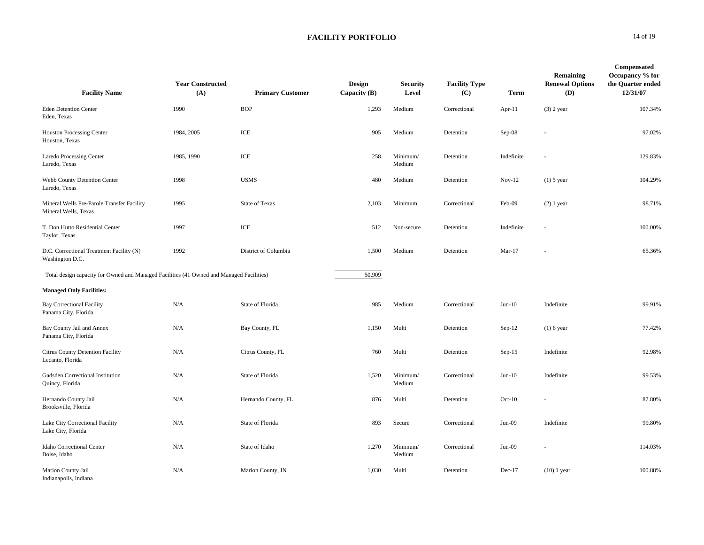| <b>Facility Name</b>                                                                     | <b>Year Constructed</b><br>(A) | <b>Primary Customer</b> | <b>Design</b><br>Capacity (B) | <b>Security</b><br>Level | <b>Facility Type</b><br>(C) | <b>Term</b> | Remaining<br><b>Renewal Options</b><br>(D) | Compensated<br>Occupancy % for<br>the Quarter ended<br>12/31/07 |
|------------------------------------------------------------------------------------------|--------------------------------|-------------------------|-------------------------------|--------------------------|-----------------------------|-------------|--------------------------------------------|-----------------------------------------------------------------|
| <b>Eden Detention Center</b><br>Eden, Texas                                              | 1990                           | <b>BOP</b>              | 1,293                         | Medium                   | Correctional                | Apr- $11$   | $(3)$ 2 year                               | 107.34%                                                         |
| <b>Houston Processing Center</b><br>Houston, Texas                                       | 1984, 2005                     | ICE                     | 905                           | Medium                   | Detention                   | $Sep-08$    |                                            | 97.02%                                                          |
| <b>Laredo Processing Center</b><br>Laredo, Texas                                         | 1985, 1990                     | ICE                     | 258                           | Minimum/<br>Medium       | Detention                   | Indefinite  |                                            | 129.83%                                                         |
| Webb County Detention Center<br>Laredo, Texas                                            | 1998                           | <b>USMS</b>             | 480                           | Medium                   | Detention                   | $Nov-12$    | $(1)$ 5 year                               | 104.29%                                                         |
| Mineral Wells Pre-Parole Transfer Facility<br>Mineral Wells, Texas                       | 1995                           | <b>State of Texas</b>   | 2,103                         | Minimum                  | Correctional                | Feb-09      | $(2)$ 1 year                               | 98.71%                                                          |
| T. Don Hutto Residential Center<br>Taylor, Texas                                         | 1997                           | ICE                     | 512                           | Non-secure               | Detention                   | Indefinite  |                                            | 100.00%                                                         |
| D.C. Correctional Treatment Facility (N)<br>Washington D.C.                              | 1992                           | District of Columbia    | 1,500                         | Medium                   | Detention                   | $Mar-17$    |                                            | 65.36%                                                          |
| Total design capacity for Owned and Managed Facilities (41 Owned and Managed Facilities) |                                |                         | 50,909                        |                          |                             |             |                                            |                                                                 |
| <b>Managed Only Facilities:</b>                                                          |                                |                         |                               |                          |                             |             |                                            |                                                                 |
| <b>Bay Correctional Facility</b><br>Panama City, Florida                                 | N/A                            | State of Florida        | 985                           | Medium                   | Correctional                | $Jun-10$    | Indefinite                                 | 99.91%                                                          |
| Bay County Jail and Annex<br>Panama City, Florida                                        | N/A                            | Bay County, FL          | 1,150                         | Multi                    | Detention                   | Sep-12      | $(1)$ 6 year                               | 77.42%                                                          |
| Citrus County Detention Facility<br>Lecanto, Florida                                     | N/A                            | Citrus County, FL       | 760                           | Multi                    | Detention                   | $Sep-15$    | Indefinite                                 | 92.98%                                                          |
| Gadsden Correctional Institution<br>Quincy, Florida                                      | N/A                            | State of Florida        | 1,520                         | Minimum/<br>Medium       | Correctional                | $Jun-10$    | Indefinite                                 | 99.53%                                                          |
| Hernando County Jail<br>Brooksville, Florida                                             | N/A                            | Hernando County, FL     | 876                           | Multi                    | Detention                   | $Oct-10$    |                                            | 87.80%                                                          |
| Lake City Correctional Facility<br>Lake City, Florida                                    | N/A                            | State of Florida        | 893                           | Secure                   | Correctional                | $Jun-09$    | Indefinite                                 | 99.80%                                                          |
| Idaho Correctional Center<br>Boise, Idaho                                                | N/A                            | State of Idaho          | 1,270                         | Minimum/<br>Medium       | Correctional                | $Jun-09$    |                                            | 114.03%                                                         |
| Marion County Jail<br>Indianapolis, Indiana                                              | N/A                            | Marion County, IN       | 1,030                         | Multi                    | Detention                   | $Dec-17$    | $(10)$ 1 year                              | 100.88%                                                         |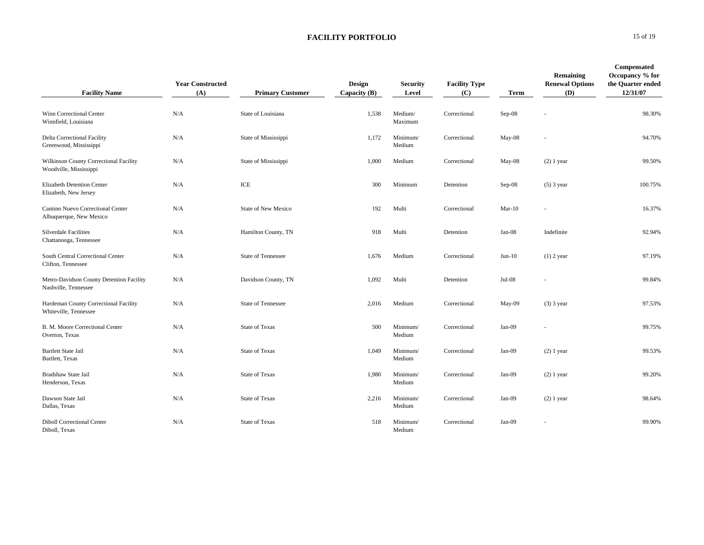| <b>Facility Name</b>                                             | <b>Year Constructed</b><br>(A) | <b>Primary Customer</b>    | Design<br>Capacity (B) | Security<br>Level  | <b>Facility Type</b><br>(C) | Term     | Remaining<br><b>Renewal Options</b><br>(D) | Compensated<br>Occupancy % for<br>the Quarter ended<br>12/31/07 |
|------------------------------------------------------------------|--------------------------------|----------------------------|------------------------|--------------------|-----------------------------|----------|--------------------------------------------|-----------------------------------------------------------------|
| Winn Correctional Center<br>Winnfield, Louisiana                 | N/A                            | State of Louisiana         | 1,538                  | Medium/<br>Maximum | Correctional                | $Sep-08$ |                                            | 98.30%                                                          |
| Delta Correctional Facility<br>Greenwood, Mississippi            | N/A                            | State of Mississippi       | 1,172                  | Minimum/<br>Medium | Correctional                | May-08   | $\sim$                                     | 94.70%                                                          |
| Wilkinson County Correctional Facility<br>Woodville, Mississippi | N/A                            | State of Mississippi       | 1,000                  | Medium             | Correctional                | May-08   | $(2)$ 1 year                               | 99.50%                                                          |
| Elizabeth Detention Center<br>Elizabeth, New Jersey              | N/A                            | ICE                        | 300                    | Minimum            | Detention                   | $Sep-08$ | $(5)$ 3 year                               | 100.75%                                                         |
| Camino Nuevo Correctional Center<br>Albuquerque, New Mexico      | N/A                            | <b>State of New Mexico</b> | 192                    | Multi              | Correctional                | $Mar-10$ | $\sim$                                     | 16.37%                                                          |
| <b>Silverdale Facilities</b><br>Chattanooga, Tennessee           | N/A                            | Hamilton County, TN        | 918                    | Multi              | Detention                   | $Jan-08$ | Indefinite                                 | 92.94%                                                          |
| South Central Correctional Center<br>Clifton, Tennessee          | N/A                            | <b>State of Tennessee</b>  | 1,676                  | Medium             | Correctional                | $Jun-10$ | $(1)$ 2 year                               | 97.19%                                                          |
| Metro-Davidson County Detention Facility<br>Nashville, Tennessee | N/A                            | Davidson County, TN        | 1,092                  | Multi              | Detention                   | $Jul-08$ | $\overline{a}$                             | 99.84%                                                          |
| Hardeman County Correctional Facility<br>Whiteville, Tennessee   | N/A                            | <b>State of Tennessee</b>  | 2,016                  | Medium             | Correctional                | May-09   | $(3)$ 3 year                               | 97.53%                                                          |
| B. M. Moore Correctional Center<br>Overton, Texas                | N/A                            | <b>State of Texas</b>      | 500                    | Minimum/<br>Medium | Correctional                | Jan-09   |                                            | 99.75%                                                          |
| <b>Bartlett State Jail</b><br>Bartlett, Texas                    | N/A                            | <b>State of Texas</b>      | 1,049                  | Minimum/<br>Medium | Correctional                | $Jan-09$ | $(2)$ 1 year                               | 99.53%                                                          |
| Bradshaw State Jail<br>Henderson, Texas                          | N/A                            | <b>State of Texas</b>      | 1,980                  | Minimum/<br>Medium | Correctional                | $Jan-09$ | $(2)$ 1 year                               | 99.20%                                                          |
| Dawson State Jail<br>Dallas, Texas                               | N/A                            | <b>State of Texas</b>      | 2,216                  | Minimum/<br>Medium | Correctional                | $Jan-09$ | $(2)$ 1 year                               | 98.64%                                                          |
| <b>Diboll Correctional Center</b><br>Diboll, Texas               | N/A                            | <b>State of Texas</b>      | 518                    | Minimum/<br>Medium | Correctional                | $Jan-09$ |                                            | 99.90%                                                          |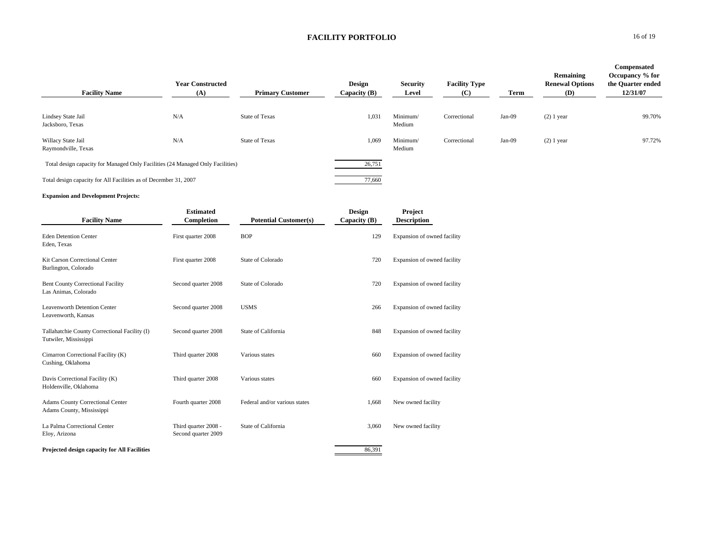| <b>Facility Name</b>                                                           | <b>Year Constructed</b><br>(A) | <b>Primary Customer</b> | <b>Design</b><br>Capacity $(B)$ | <b>Security</b><br>Level | <b>Facility Type</b><br>(C) | Term     | Remaining<br><b>Renewal Options</b><br><b>(D)</b> | Compensated<br>Occupancy % for<br>the Quarter ended<br>12/31/07 |
|--------------------------------------------------------------------------------|--------------------------------|-------------------------|---------------------------------|--------------------------|-----------------------------|----------|---------------------------------------------------|-----------------------------------------------------------------|
| Lindsey State Jail<br>Jacksboro, Texas                                         | N/A                            | <b>State of Texas</b>   | 1,031                           | Minimum/<br>Medium       | Correctional                | $Jan-09$ | $(2)$ 1 year                                      | 99.70%                                                          |
| Willacy State Jail<br>Raymondville, Texas                                      | N/A                            | <b>State of Texas</b>   | 1,069                           | Minimum/<br>Medium       | Correctional                | Jan-09   | $(2)$ 1 year                                      | 97.72%                                                          |
| Total design capacity for Managed Only Facilities (24 Managed Only Facilities) |                                |                         | 26,751                          |                          |                             |          |                                                   |                                                                 |
| Total design capacity for All Facilities as of December 31, 2007               |                                |                         | 77,660                          |                          |                             |          |                                                   |                                                                 |

#### **Expansion and Development Projects:**

| <b>Facility Name</b>                                                   | <b>Estimated</b><br>Completion              | <b>Potential Customer(s)</b>  | <b>Design</b><br>Capacity (B) | Project<br><b>Description</b> |
|------------------------------------------------------------------------|---------------------------------------------|-------------------------------|-------------------------------|-------------------------------|
| <b>Eden Detention Center</b><br>Eden, Texas                            | First quarter 2008                          | <b>BOP</b>                    | 129                           | Expansion of owned facility   |
| Kit Carson Correctional Center<br>Burlington, Colorado                 | First quarter 2008                          | State of Colorado             | 720                           | Expansion of owned facility   |
| <b>Bent County Correctional Facility</b><br>Las Animas, Colorado       | Second quarter 2008                         | State of Colorado             | 720                           | Expansion of owned facility   |
| Leavenworth Detention Center<br>Leavenworth, Kansas                    | Second quarter 2008                         | <b>USMS</b>                   | 266                           | Expansion of owned facility   |
| Tallahatchie County Correctional Facility (I)<br>Tutwiler, Mississippi | Second quarter 2008                         | State of California           | 848                           | Expansion of owned facility   |
| Cimarron Correctional Facility (K)<br>Cushing, Oklahoma                | Third quarter 2008                          | Various states                | 660                           | Expansion of owned facility   |
| Davis Correctional Facility (K)<br>Holdenville, Oklahoma               | Third quarter 2008                          | Various states                | 660                           | Expansion of owned facility   |
| <b>Adams County Correctional Center</b><br>Adams County, Mississippi   | Fourth quarter 2008                         | Federal and/or various states | 1,668                         | New owned facility            |
| La Palma Correctional Center<br>Eloy, Arizona                          | Third quarter 2008 -<br>Second quarter 2009 | State of California           | 3,060                         | New owned facility            |
| Projected design capacity for All Facilities                           |                                             |                               | 86,391                        |                               |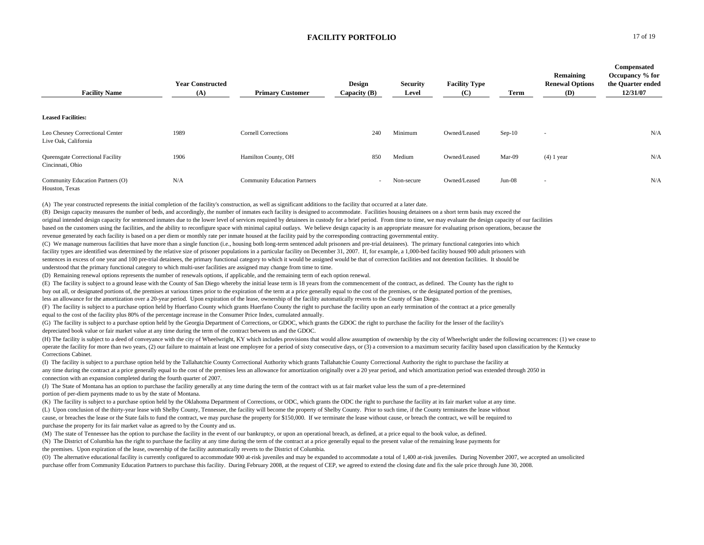| <b>Facility Name</b>                                    | <b>Year Constructed</b><br>(A) | <b>Primary Customer</b>             | Design<br>Capacity (B)   | <b>Security</b><br>Level | <b>Facility Type</b><br>(C) | Term     | Remaining<br><b>Renewal Options</b><br><b>(D)</b> | <b>Compensated</b><br>Occupancy % for<br>the Quarter ended<br>12/31/07 |
|---------------------------------------------------------|--------------------------------|-------------------------------------|--------------------------|--------------------------|-----------------------------|----------|---------------------------------------------------|------------------------------------------------------------------------|
| <b>Leased Facilities:</b>                               |                                |                                     |                          |                          |                             |          |                                                   |                                                                        |
| Leo Chesney Correctional Center<br>Live Oak, California | 1989                           | <b>Cornell Corrections</b>          | 240                      | Minimum                  | Owned/Leased                | $Sep-10$ | $\sim$                                            | N/A                                                                    |
| Queensgate Correctional Facility<br>Cincinnati, Ohio    | 1906                           | Hamilton County, OH                 | 850                      | Medium                   | Owned/Leased                | Mar-09   | $(4)$ 1 year                                      | N/A                                                                    |
| Community Education Partners (O)<br>Houston, Texas      | N/A                            | <b>Community Education Partners</b> | $\overline{\phantom{a}}$ | Non-secure               | Owned/Leased                | $Jun-08$ | $\sim$                                            | N/A                                                                    |

(A) The year constructed represents the initial completion of the facility's construction, as well as significant additions to the facility that occurred at a later date.

(B) Design capacity measures the number of beds, and accordingly, the number of inmates each facility is designed to accommodate. Facilities housing detainees on a short term basis may exceed the original intended design capacity for sentenced inmates due to the lower level of services required by detainees in custody for a brief period. From time to time, we may evaluate the design capacity of our facilities based on the customers using the facilities, and the ability to reconfigure space with minimal capital outlays. We believe design capacity is an appropriate measure for evaluating prison operations, because the revenue generated by each facility is based on a per diem or monthly rate per inmate housed at the facility paid by the corresponding contracting governmental entity.

(C) We manage numerous facilities that have more than a single function (i.e., housing both long-term sentenced adult prisoners and pre-trial detainees). The primary functional categories into which facility types are identified was determined by the relative size of prisoner populations in a particular facility on December 31, 2007. If, for example, a 1,000-bed facility housed 900 adult prisoners with sentences in excess of one year and 100 pre-trial detainees, the primary functional category to which it would be assigned would be that of correction facilities and not detention facilities. It should be understood that the primary functional category to which multi-user facilities are assigned may change from time to time.

(D) Remaining renewal options represents the number of renewals options, if applicable, and the remaining term of each option renewal.

(E) The facility is subject to a ground lease with the County of San Diego whereby the initial lease term is 18 years from the commencement of the contract, as defined. The County has the right to buy out all, or designated portions of, the premises at various times prior to the expiration of the term at a price generally equal to the cost of the premises, or the designated portion of the premises,

less an allowance for the amortization over a 20-year period. Upon expiration of the lease, ownership of the facility automatically reverts to the County of San Diego.

(F) The facility is subject to a purchase option held by Huerfano County which grants Huerfano County the right to purchase the facility upon an early termination of the contract at a price generally equal to the cost of the facility plus 80% of the percentage increase in the Consumer Price Index, cumulated annually.

(G) The facility is subject to a purchase option held by the Georgia Department of Corrections, or GDOC, which grants the GDOC the right to purchase the facility for the lesser of the facility's depreciated book value or fair market value at any time during the term of the contract between us and the GDOC.

(H) The facility is subject to a deed of conveyance with the city of Wheelwright, KY which includes provisions that would allow assumption of ownership by the city of Wheelwright under the following occurrences: (1) we cea operate the facility for more than two years, (2) our failure to maintain at least one employee for a period of sixty consecutive days, or (3) a conversion to a maximum security facility based upon classification by the Ke Corrections Cabinet.

(I) The facility is subject to a purchase option held by the Tallahatchie County Correctional Authority which grants Tallahatchie County Correctional Authority the right to purchase the facility at any time during the contract at a price generally equal to the cost of the premises less an allowance for amortization originally over a 20 year period, and which amortization period was extended through 2050 in connection with an expansion completed during the fourth quarter of 2007.

(J) The State of Montana has an option to purchase the facility generally at any time during the term of the contract with us at fair market value less the sum of a pre-determined portion of per-diem payments made to us by the state of Montana.

(K) The facility is subject to a purchase option held by the Oklahoma Department of Corrections, or ODC, which grants the ODC the right to purchase the facility at its fair market value at any time.

(L) Upon conclusion of the thirty-year lease with Shelby County, Tennessee, the facility will become the property of Shelby County. Prior to such time, if the County terminates the lease without cause, or breaches the lease or the State fails to fund the contract, we may purchase the property for \$150,000. If we terminate the lease without cause, or breach the contract, we will be required to purchase the property for its fair market value as agreed to by the County and us.

(M) The state of Tennessee has the option to purchase the facility in the event of our bankruptcy, or upon an operational breach, as defined, at a price equal to the book value, as defined. (N) The District of Columbia has the right to purchase the facility at any time during the term of the contract at a price generally equal to the present value of the remaining lease payments for the premises. Upon expiration of the lease, ownership of the facility automatically reverts to the District of Columbia.

(O) The alternative educational facility is currently configured to accommodate 900 at-risk juveniles and may be expanded to accommodate a total of 1,400 at-risk juveniles. During November 2007, we accepted an unsolicited purchase offer from Community Education Partners to purchase this facility. During February 2008, at the request of CEP, we agreed to extend the closing date and fix the sale price through June 30, 2008.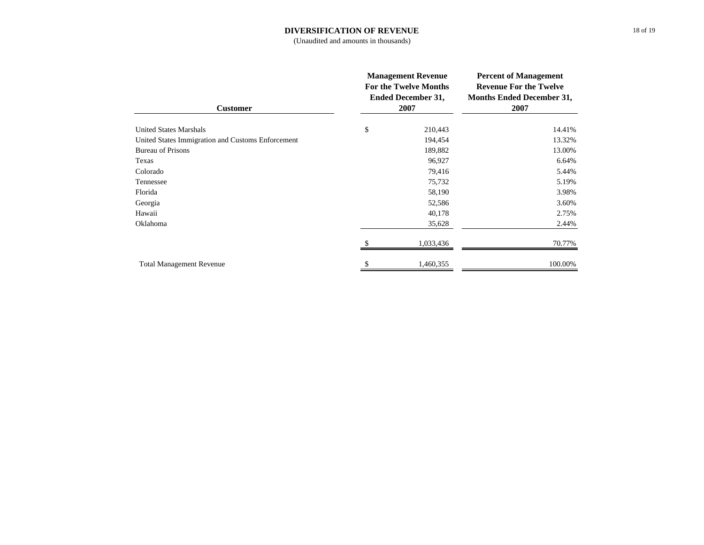#### **DIVERSIFICATION OF REVENUE**

(Unaudited and amounts in thousands)

| <b>Customer</b>                                   | <b>Management Revenue</b><br><b>For the Twelve Months</b><br><b>Ended December 31,</b><br>2007 | <b>Percent of Management</b><br><b>Revenue For the Twelve</b><br><b>Months Ended December 31,</b><br>2007 |  |
|---------------------------------------------------|------------------------------------------------------------------------------------------------|-----------------------------------------------------------------------------------------------------------|--|
| <b>United States Marshals</b>                     | \$<br>210,443                                                                                  | 14.41%                                                                                                    |  |
| United States Immigration and Customs Enforcement | 194,454                                                                                        | 13.32%                                                                                                    |  |
| <b>Bureau of Prisons</b>                          | 189,882                                                                                        | 13.00%                                                                                                    |  |
| Texas                                             | 96,927                                                                                         | 6.64%                                                                                                     |  |
| Colorado                                          | 79,416                                                                                         | 5.44%                                                                                                     |  |
| Tennessee                                         | 75,732                                                                                         | 5.19%                                                                                                     |  |
| Florida                                           | 58,190                                                                                         | 3.98%                                                                                                     |  |
| Georgia                                           | 52,586                                                                                         | 3.60%                                                                                                     |  |
| Hawaii                                            | 40,178                                                                                         | 2.75%                                                                                                     |  |
| Oklahoma                                          | 35,628                                                                                         | 2.44%                                                                                                     |  |
|                                                   | 1,033,436                                                                                      | 70.77%                                                                                                    |  |
| <b>Total Management Revenue</b>                   | 1,460,355                                                                                      | 100.00%                                                                                                   |  |